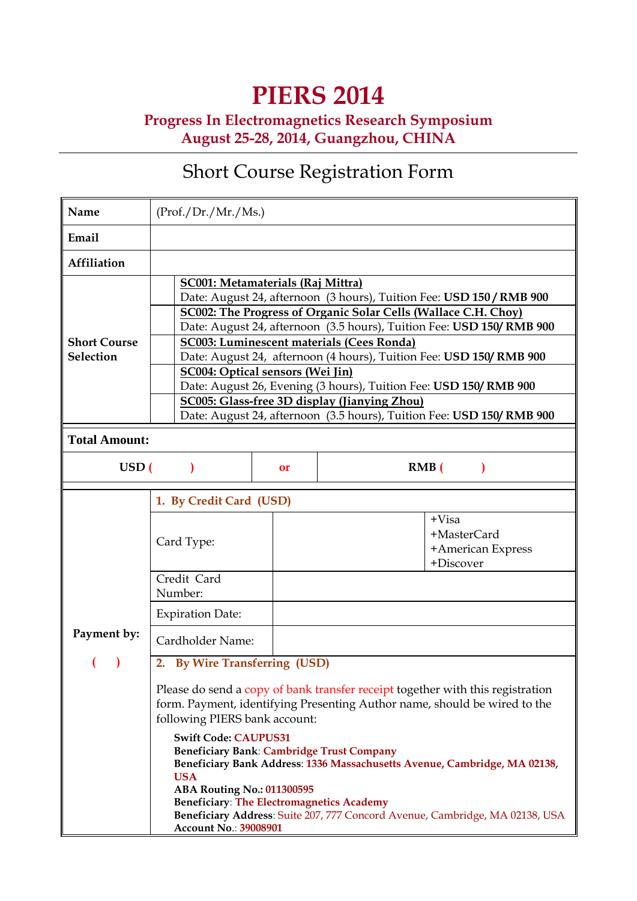# **PIERS 2014**

**Progress In Electromagnetics Research Symposium August 25-28, 2014, Guangzhou, CHINA** 

# Short Course Registration Form

| Name                                    | (Prof./Dr./Mr./Ms.)                                                                                                                                                                                                                                                                                                                                                                                                                                                                                                                                                                                                                                                                                                                                                                                |  |
|-----------------------------------------|----------------------------------------------------------------------------------------------------------------------------------------------------------------------------------------------------------------------------------------------------------------------------------------------------------------------------------------------------------------------------------------------------------------------------------------------------------------------------------------------------------------------------------------------------------------------------------------------------------------------------------------------------------------------------------------------------------------------------------------------------------------------------------------------------|--|
| Email                                   |                                                                                                                                                                                                                                                                                                                                                                                                                                                                                                                                                                                                                                                                                                                                                                                                    |  |
| Affiliation                             |                                                                                                                                                                                                                                                                                                                                                                                                                                                                                                                                                                                                                                                                                                                                                                                                    |  |
| <b>Short Course</b><br><b>Selection</b> | <b>SC001: Metamaterials (Raj Mittra)</b><br>Date: August 24, afternoon (3 hours), Tuition Fee: USD 150 / RMB 900<br>SC002: The Progress of Organic Solar Cells (Wallace C.H. Choy)<br>Date: August 24, afternoon (3.5 hours), Tuition Fee: USD 150/ RMB 900<br>SC003: Luminescent materials (Cees Ronda)<br>Date: August 24, afternoon (4 hours), Tuition Fee: USD 150/ RMB 900<br><b>SC004: Optical sensors (Wei Jin)</b><br>Date: August 26, Evening (3 hours), Tuition Fee: USD 150/RMB 900<br><b>SC005: Glass-free 3D display (Jianying Zhou)</b><br>Date: August 24, afternoon (3.5 hours), Tuition Fee: USD 150/ RMB 900                                                                                                                                                                     |  |
| <b>Total Amount:</b>                    |                                                                                                                                                                                                                                                                                                                                                                                                                                                                                                                                                                                                                                                                                                                                                                                                    |  |
| USD(                                    | RMB(<br><b>or</b>                                                                                                                                                                                                                                                                                                                                                                                                                                                                                                                                                                                                                                                                                                                                                                                  |  |
| Payment by:                             | 1. By Credit Card (USD)<br>$+Visa$<br>+MasterCard<br>Card Type:<br>+American Express<br>+Discover<br>Credit Card<br>Number:<br><b>Expiration Date:</b><br>Cardholder Name:<br>2. By Wire Transferring (USD)<br>Please do send a copy of bank transfer receipt together with this registration<br>form. Payment, identifying Presenting Author name, should be wired to the<br>following PIERS bank account:<br><b>Swift Code: CAUPUS31</b><br><b>Beneficiary Bank: Cambridge Trust Company</b><br>Beneficiary Bank Address: 1336 Massachusetts Avenue, Cambridge, MA 02138,<br><b>USA</b><br><b>ABA Routing No.: 011300595</b><br><b>Beneficiary: The Electromagnetics Academy</b><br>Beneficiary Address: Suite 207, 777 Concord Avenue, Cambridge, MA 02138, USA<br><b>Account No.: 39008901</b> |  |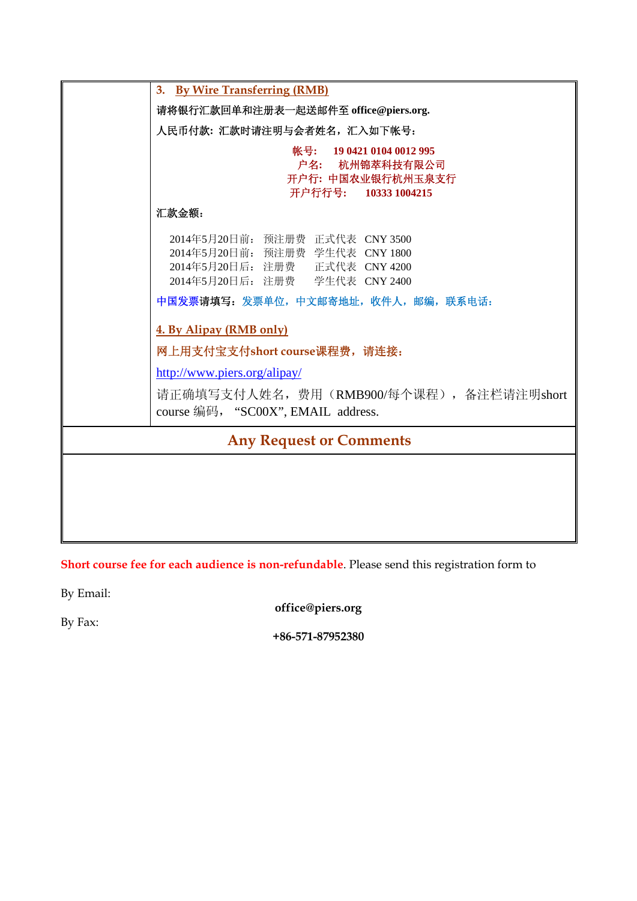|                                | 3. By Wire Transferring (RMB)                                                                                                          |
|--------------------------------|----------------------------------------------------------------------------------------------------------------------------------------|
|                                | 请将银行汇款回单和注册表一起送邮件至 office@piers.org.                                                                                                   |
|                                | 人民币付款: 汇款时请注明与会者姓名, 汇入如下帐号:                                                                                                            |
|                                | 帐号: 19 0421 0104 0012 995<br>户名: 杭州锦萃科技有限公司<br>开户行: 中国农业银行杭州玉泉支行<br>开户行行号: 10333 1004215                                               |
|                                | 汇款金额:                                                                                                                                  |
|                                | 2014年5月20日前: 预注册费 正式代表 CNY 3500<br>2014年5月20日前: 预注册费 学生代表 CNY 1800<br>2014年5月20日后: 注册费 正式代表 CNY 4200<br>2014年5月20日后: 注册费 学生代表 CNY 2400 |
|                                | 中国发票请填写: 发票单位, 中文邮寄地址, 收件人, 邮编, 联系电话:                                                                                                  |
|                                | 4. By Alipay (RMB only)                                                                                                                |
|                                | 网上用支付宝支付short course课程费, 请连接:                                                                                                          |
|                                | http://www.piers.org/alipay/                                                                                                           |
|                                | 请正确填写支付人姓名,费用 (RMB900/每个课程) ,备注栏请注明short<br>course 编码, "SC00X", EMAIL address.                                                         |
| <b>Any Request or Comments</b> |                                                                                                                                        |
|                                |                                                                                                                                        |
|                                |                                                                                                                                        |
|                                |                                                                                                                                        |
|                                |                                                                                                                                        |

**Short course fee for each audience is non-refundable**. Please send this registration form to

By Email:

**office@piers.org** 

By Fax:

**+86-571-87952380**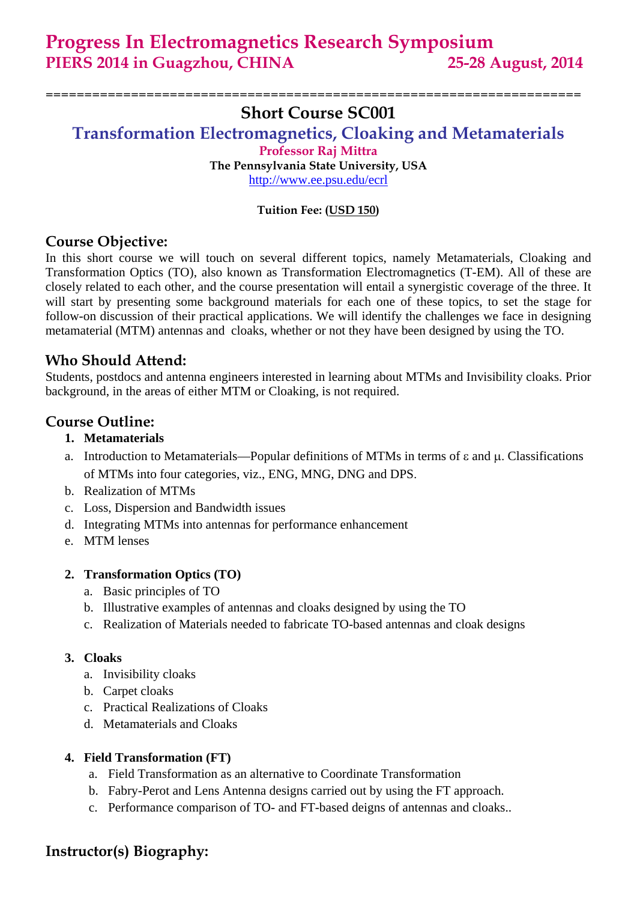**Progress In Electromagnetics Research Symposium PIERS 2014 in Guagzhou, CHINA 25-28 August, 2014** 

# **Short Course SC001**

=====================================================================

**Transformation Electromagnetics, Cloaking and Metamaterials Professor Raj Mittra** 

**The Pennsylvania State University, USA**  http://www.ee.psu.edu/ecrl

#### **Tuition Fee: (USD 150)**

## **Course Objective:**

In this short course we will touch on several different topics, namely Metamaterials, Cloaking and Transformation Optics (TO), also known as Transformation Electromagnetics (T-EM). All of these are closely related to each other, and the course presentation will entail a synergistic coverage of the three. It will start by presenting some background materials for each one of these topics, to set the stage for follow-on discussion of their practical applications. We will identify the challenges we face in designing metamaterial (MTM) antennas and cloaks, whether or not they have been designed by using the TO.

## **Who Should Attend:**

Students, postdocs and antenna engineers interested in learning about MTMs and Invisibility cloaks. Prior background, in the areas of either MTM or Cloaking, is not required.

## **Course Outline:**

- **1. Metamaterials**
- a. Introduction to Metamaterials—Popular definitions of MTMs in terms of ε and μ. Classifications of MTMs into four categories, viz., ENG, MNG, DNG and DPS.
- b. Realization of MTMs
- c. Loss, Dispersion and Bandwidth issues
- d. Integrating MTMs into antennas for performance enhancement
- e. MTM lenses

#### **2. Transformation Optics (TO)**

- a. Basic principles of TO
- b. Illustrative examples of antennas and cloaks designed by using the TO
- c. Realization of Materials needed to fabricate TO-based antennas and cloak designs

#### **3. Cloaks**

- a. Invisibility cloaks
- b. Carpet cloaks
- c. Practical Realizations of Cloaks
- d. Metamaterials and Cloaks

#### **4. Field Transformation (FT)**

- a. Field Transformation as an alternative to Coordinate Transformation
- b. Fabry-Perot and Lens Antenna designs carried out by using the FT approach.
- c. Performance comparison of TO- and FT-based deigns of antennas and cloaks..

## **Instructor(s) Biography:**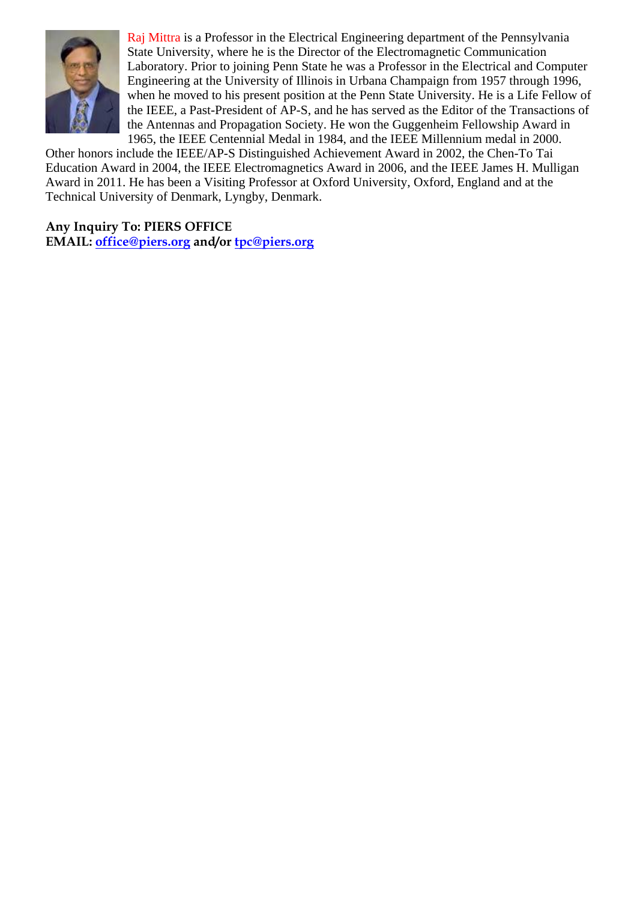

Raj Mittra is a Professor in the Electrical Engineering department of the Pennsylvania State University, where he is the Director of the Electromagnetic Communication Laboratory. Prior to joining Penn State he was a Professor in the Electrical and Computer Engineering at the University of Illinois in Urbana Champaign from 1957 through 1996, when he moved to his present position at the Penn State University. He is a Life Fellow of the IEEE, a Past-President of AP-S, and he has served as the Editor of the Transactions of the Antennas and Propagation Society. He won the Guggenheim Fellowship Award in 1965, the IEEE Centennial Medal in 1984, and the IEEE Millennium medal in 2000.

Other honors include the IEEE/AP-S Distinguished Achievement Award in 2002, the Chen-To Tai Education Award in 2004, the IEEE Electromagnetics Award in 2006, and the IEEE James H. Mulligan Award in 2011. He has been a Visiting Professor at Oxford University, Oxford, England and at the Technical University of Denmark, Lyngby, Denmark.

**Any Inquiry To: PIERS OFFICE EMAIL: office@piers.org and/or tpc@piers.org**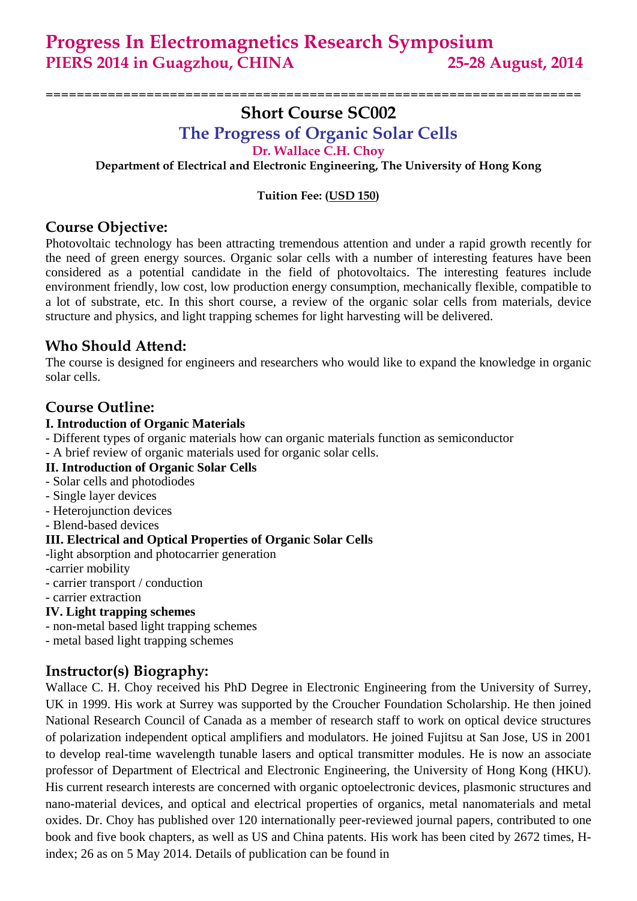## ===================================================================== **Short Course SC002**

**The Progress of Organic Solar Cells** 

**Dr. Wallace C.H. Choy** 

**Department of Electrical and Electronic Engineering, The University of Hong Kong** 

**Tuition Fee: (USD 150)**

## **Course Objective:**

Photovoltaic technology has been attracting tremendous attention and under a rapid growth recently for the need of green energy sources. Organic solar cells with a number of interesting features have been considered as a potential candidate in the field of photovoltaics. The interesting features include environment friendly, low cost, low production energy consumption, mechanically flexible, compatible to a lot of substrate, etc. In this short course, a review of the organic solar cells from materials, device structure and physics, and light trapping schemes for light harvesting will be delivered.

## **Who Should Attend:**

The course is designed for engineers and researchers who would like to expand the knowledge in organic solar cells.

## **Course Outline:**

#### **I. Introduction of Organic Materials**

- Different types of organic materials how can organic materials function as semiconductor
- A brief review of organic materials used for organic solar cells.

#### **II. Introduction of Organic Solar Cells**

- Solar cells and photodiodes
- Single layer devices
- Heterojunction devices
- Blend-based devices

#### **III. Electrical and Optical Properties of Organic Solar Cells**

-light absorption and photocarrier generation

- -carrier mobility
- carrier transport / conduction

#### - carrier extraction

#### **IV. Light trapping schemes**

- non-metal based light trapping schemes
- metal based light trapping schemes

# **Instructor(s) Biography:**

Wallace C. H. Choy received his PhD Degree in Electronic Engineering from the University of Surrey, UK in 1999. His work at Surrey was supported by the Croucher Foundation Scholarship. He then joined National Research Council of Canada as a member of research staff to work on optical device structures of polarization independent optical amplifiers and modulators. He joined Fujitsu at San Jose, US in 2001 to develop real-time wavelength tunable lasers and optical transmitter modules. He is now an associate professor of Department of Electrical and Electronic Engineering, the University of Hong Kong (HKU). His current research interests are concerned with organic optoelectronic devices, plasmonic structures and nano-material devices, and optical and electrical properties of organics, metal nanomaterials and metal oxides. Dr. Choy has published over 120 internationally peer-reviewed journal papers, contributed to one book and five book chapters, as well as US and China patents. His work has been cited by 2672 times, Hindex; 26 as on 5 May 2014. Details of publication can be found in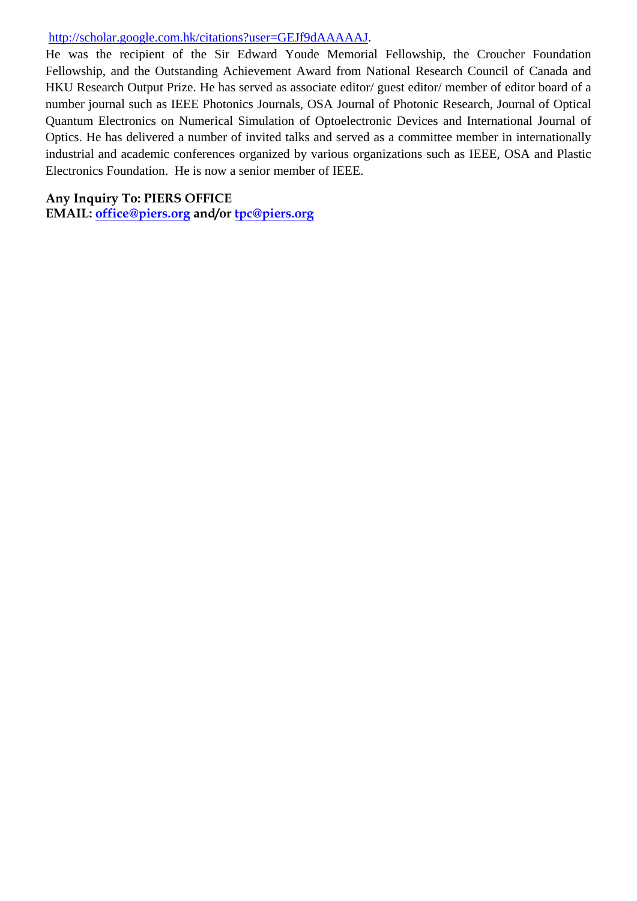#### http://scholar.google.com.hk/citations?user=GEJf9dAAAAAJ.

He was the recipient of the Sir Edward Youde Memorial Fellowship, the Croucher Foundation Fellowship, and the Outstanding Achievement Award from National Research Council of Canada and HKU Research Output Prize. He has served as associate editor/ guest editor/ member of editor board of a number journal such as IEEE Photonics Journals, OSA Journal of Photonic Research, Journal of Optical Quantum Electronics on Numerical Simulation of Optoelectronic Devices and International Journal of Optics. He has delivered a number of invited talks and served as a committee member in internationally industrial and academic conferences organized by various organizations such as IEEE, OSA and Plastic Electronics Foundation. He is now a senior member of IEEE.

#### **Any Inquiry To: PIERS OFFICE**

**EMAIL: office@piers.org and/or tpc@piers.org**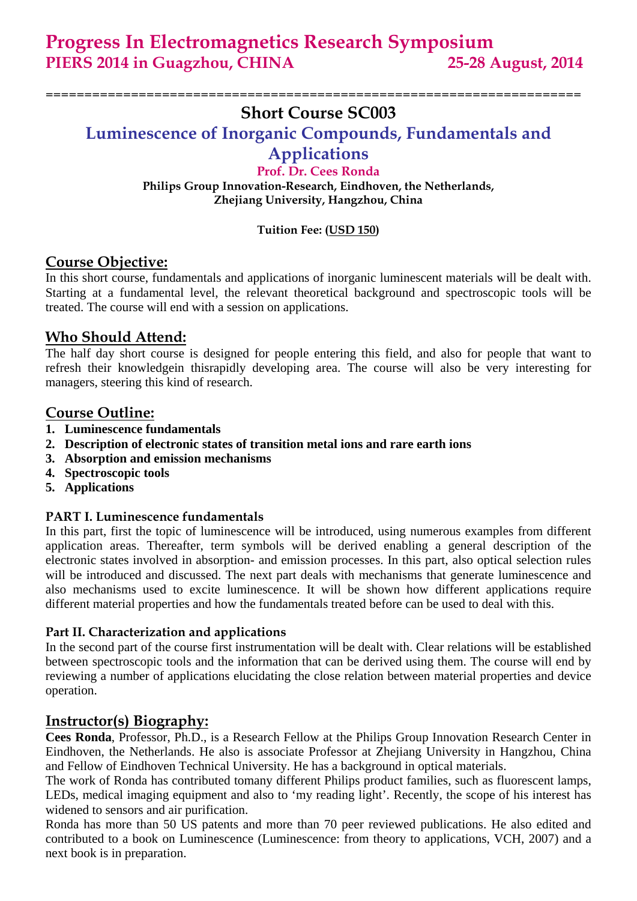**Progress In Electromagnetics Research Symposium PIERS 2014 in Guagzhou, CHINA 25-28 August, 2014** 

## ===================================================================== **Short Course SC003**

**Luminescence of Inorganic Compounds, Fundamentals and** 

# **Applications**

**Prof. Dr. Cees Ronda Philips Group Innovation-Research, Eindhoven, the Netherlands, Zhejiang University, Hangzhou, China** 

#### **Tuition Fee: (USD 150)**

## **Course Objective:**

In this short course, fundamentals and applications of inorganic luminescent materials will be dealt with. Starting at a fundamental level, the relevant theoretical background and spectroscopic tools will be treated. The course will end with a session on applications.

## **Who Should Attend:**

The half day short course is designed for people entering this field, and also for people that want to refresh their knowledgein thisrapidly developing area. The course will also be very interesting for managers, steering this kind of research.

## **Course Outline:**

- **1. Luminescence fundamentals**
- **2. Description of electronic states of transition metal ions and rare earth ions**
- **3. Absorption and emission mechanisms**
- **4. Spectroscopic tools**
- **5. Applications**

## **PART I. Luminescence fundamentals**

In this part, first the topic of luminescence will be introduced, using numerous examples from different application areas. Thereafter, term symbols will be derived enabling a general description of the electronic states involved in absorption- and emission processes. In this part, also optical selection rules will be introduced and discussed. The next part deals with mechanisms that generate luminescence and also mechanisms used to excite luminescence. It will be shown how different applications require different material properties and how the fundamentals treated before can be used to deal with this.

#### **Part II. Characterization and applications**

In the second part of the course first instrumentation will be dealt with. Clear relations will be established between spectroscopic tools and the information that can be derived using them. The course will end by reviewing a number of applications elucidating the close relation between material properties and device operation.

## **Instructor(s) Biography:**

**Cees Ronda**, Professor, Ph.D., is a Research Fellow at the Philips Group Innovation Research Center in Eindhoven, the Netherlands. He also is associate Professor at Zhejiang University in Hangzhou, China and Fellow of Eindhoven Technical University. He has a background in optical materials.

The work of Ronda has contributed tomany different Philips product families, such as fluorescent lamps, LEDs, medical imaging equipment and also to 'my reading light'. Recently, the scope of his interest has widened to sensors and air purification.

Ronda has more than 50 US patents and more than 70 peer reviewed publications. He also edited and contributed to a book on Luminescence (Luminescence: from theory to applications, VCH, 2007) and a next book is in preparation.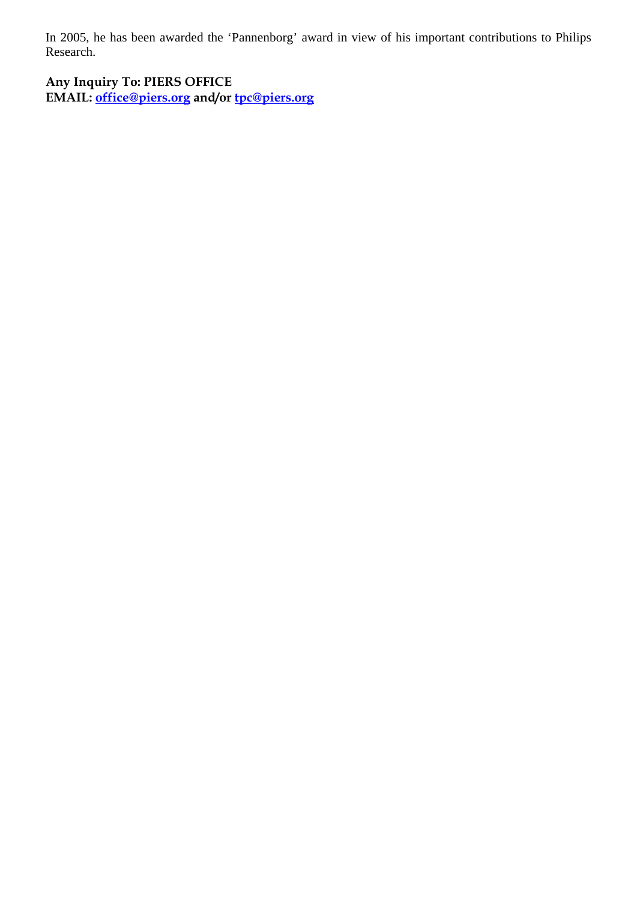In 2005, he has been awarded the 'Pannenborg' award in view of his important contributions to Philips Research.

**Any Inquiry To: PIERS OFFICE EMAIL: office@piers.org and/or tpc@piers.org**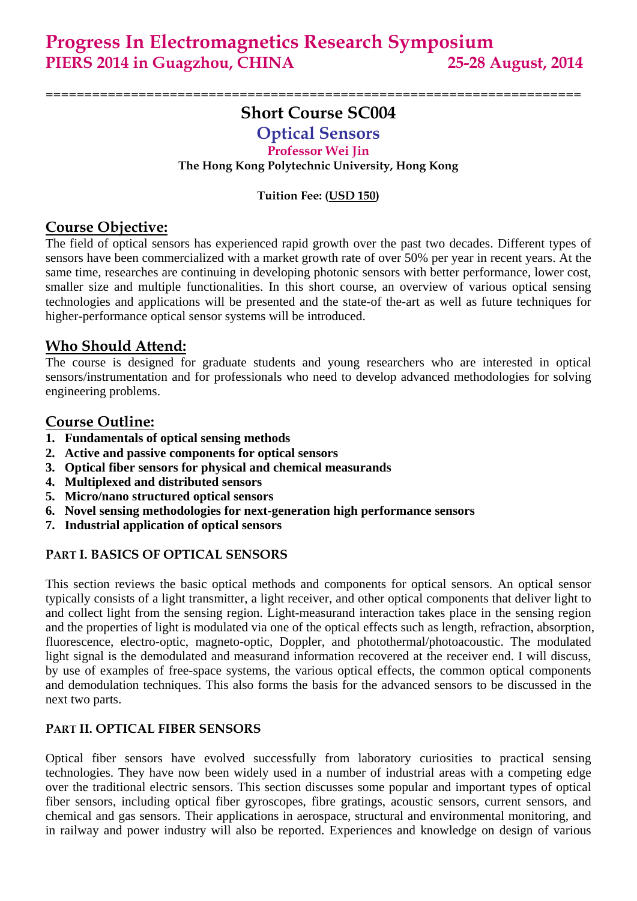# **Short Course SC004**

=====================================================================

# **Optical Sensors**

#### **Professor Wei Jin**

**The Hong Kong Polytechnic University, Hong Kong** 

#### **Tuition Fee: (USD 150)**

## **Course Objective:**

The field of optical sensors has experienced rapid growth over the past two decades. Different types of sensors have been commercialized with a market growth rate of over 50% per year in recent years. At the same time, researches are continuing in developing photonic sensors with better performance, lower cost, smaller size and multiple functionalities. In this short course, an overview of various optical sensing technologies and applications will be presented and the state-of the-art as well as future techniques for higher-performance optical sensor systems will be introduced.

## **Who Should Attend:**

The course is designed for graduate students and young researchers who are interested in optical sensors/instrumentation and for professionals who need to develop advanced methodologies for solving engineering problems.

## **Course Outline:**

- **1. Fundamentals of optical sensing methods**
- **2. Active and passive components for optical sensors**
- **3. Optical fiber sensors for physical and chemical measurands**
- **4. Multiplexed and distributed sensors**
- **5. Micro/nano structured optical sensors**
- **6. Novel sensing methodologies for next-generation high performance sensors**
- **7. Industrial application of optical sensors**

## **PART I. BASICS OF OPTICAL SENSORS**

This section reviews the basic optical methods and components for optical sensors. An optical sensor typically consists of a light transmitter, a light receiver, and other optical components that deliver light to and collect light from the sensing region. Light-measurand interaction takes place in the sensing region and the properties of light is modulated via one of the optical effects such as length, refraction, absorption, fluorescence, electro-optic, magneto-optic, Doppler, and photothermal/photoacoustic. The modulated light signal is the demodulated and measurand information recovered at the receiver end. I will discuss, by use of examples of free-space systems, the various optical effects, the common optical components and demodulation techniques. This also forms the basis for the advanced sensors to be discussed in the next two parts.

#### **PART II. OPTICAL FIBER SENSORS**

Optical fiber sensors have evolved successfully from laboratory curiosities to practical sensing technologies. They have now been widely used in a number of industrial areas with a competing edge over the traditional electric sensors. This section discusses some popular and important types of optical fiber sensors, including optical fiber gyroscopes, fibre gratings, acoustic sensors, current sensors, and chemical and gas sensors. Their applications in aerospace, structural and environmental monitoring, and in railway and power industry will also be reported. Experiences and knowledge on design of various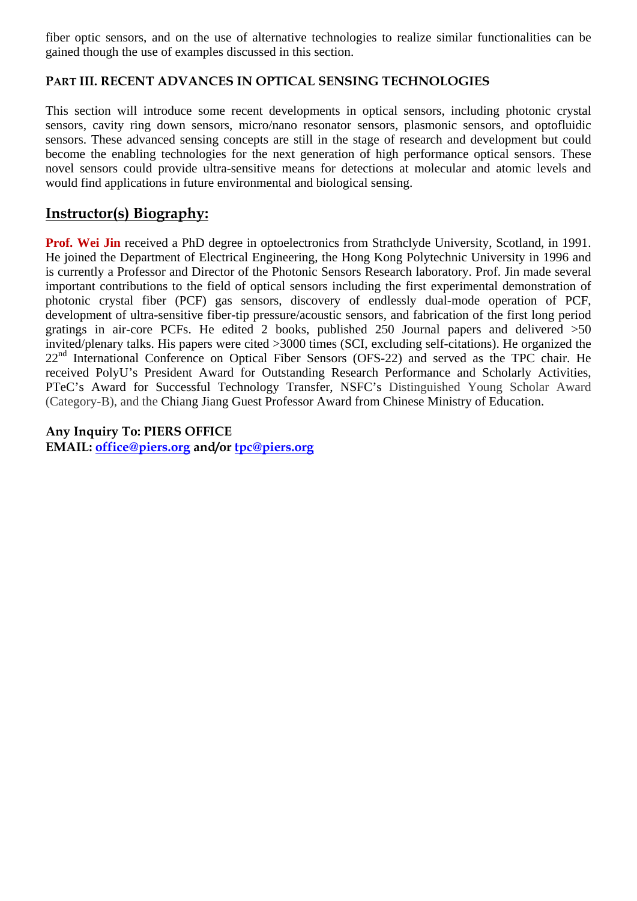fiber optic sensors, and on the use of alternative technologies to realize similar functionalities can be gained though the use of examples discussed in this section.

#### **PART III. RECENT ADVANCES IN OPTICAL SENSING TECHNOLOGIES**

This section will introduce some recent developments in optical sensors, including photonic crystal sensors, cavity ring down sensors, micro/nano resonator sensors, plasmonic sensors, and optofluidic sensors. These advanced sensing concepts are still in the stage of research and development but could become the enabling technologies for the next generation of high performance optical sensors. These novel sensors could provide ultra-sensitive means for detections at molecular and atomic levels and would find applications in future environmental and biological sensing.

## **Instructor(s) Biography:**

**Prof. Wei Jin** received a PhD degree in optoelectronics from Strathclyde University, Scotland, in 1991. He joined the Department of Electrical Engineering, the Hong Kong Polytechnic University in 1996 and is currently a Professor and Director of the Photonic Sensors Research laboratory. Prof. Jin made several important contributions to the field of optical sensors including the first experimental demonstration of photonic crystal fiber (PCF) gas sensors, discovery of endlessly dual-mode operation of PCF, development of ultra-sensitive fiber-tip pressure/acoustic sensors, and fabrication of the first long period gratings in air-core PCFs. He edited 2 books, published 250 Journal papers and delivered >50 invited/plenary talks. His papers were cited >3000 times (SCI, excluding self-citations). He organized the 22<sup>nd</sup> International Conference on Optical Fiber Sensors (OFS-22) and served as the TPC chair. He received PolyU's President Award for Outstanding Research Performance and Scholarly Activities, PTeC's Award for Successful Technology Transfer, NSFC's Distinguished Young Scholar Award (Category-B), and the Chiang Jiang Guest Professor Award from Chinese Ministry of Education.

**Any Inquiry To: PIERS OFFICE** 

**EMAIL: office@piers.org and/or tpc@piers.org**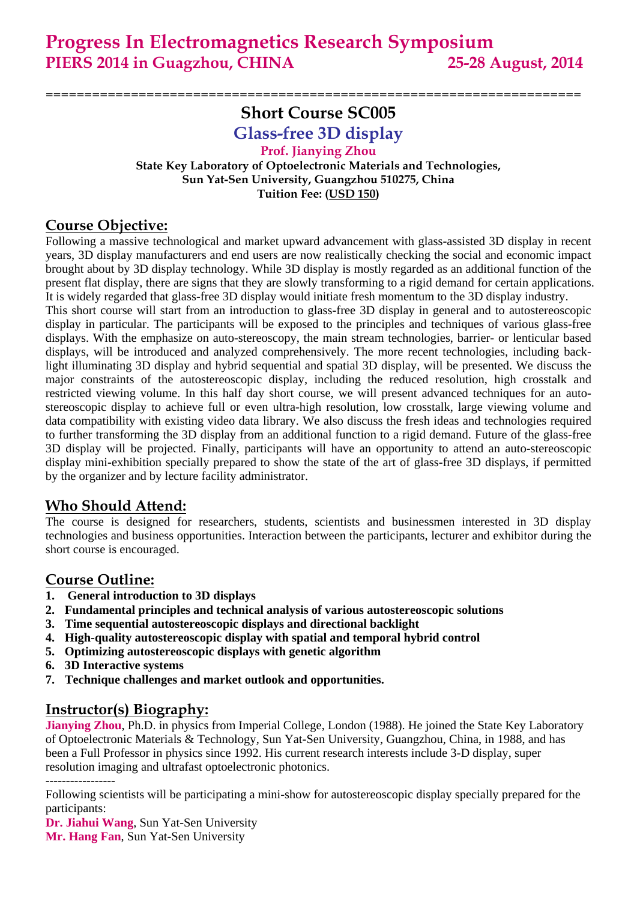# **Short Course SC005**

=====================================================================

**Glass-free 3D display**

#### **Prof. Jianying Zhou State Key Laboratory of Optoelectronic Materials and Technologies, Sun Yat-Sen University, Guangzhou 510275, China Tuition Fee: (USD 150)**

## **Course Objective:**

Following a massive technological and market upward advancement with glass-assisted 3D display in recent years, 3D display manufacturers and end users are now realistically checking the social and economic impact brought about by 3D display technology. While 3D display is mostly regarded as an additional function of the present flat display, there are signs that they are slowly transforming to a rigid demand for certain applications. It is widely regarded that glass-free 3D display would initiate fresh momentum to the 3D display industry.

This short course will start from an introduction to glass-free 3D display in general and to autostereoscopic display in particular. The participants will be exposed to the principles and techniques of various glass-free displays. With the emphasize on auto-stereoscopy, the main stream technologies, barrier- or lenticular based displays, will be introduced and analyzed comprehensively. The more recent technologies, including backlight illuminating 3D display and hybrid sequential and spatial 3D display, will be presented. We discuss the major constraints of the autostereoscopic display, including the reduced resolution, high crosstalk and restricted viewing volume. In this half day short course, we will present advanced techniques for an autostereoscopic display to achieve full or even ultra-high resolution, low crosstalk, large viewing volume and data compatibility with existing video data library. We also discuss the fresh ideas and technologies required to further transforming the 3D display from an additional function to a rigid demand. Future of the glass-free 3D display will be projected. Finally, participants will have an opportunity to attend an auto-stereoscopic display mini-exhibition specially prepared to show the state of the art of glass-free 3D displays, if permitted by the organizer and by lecture facility administrator.

# **Who Should Attend:**

The course is designed for researchers, students, scientists and businessmen interested in 3D display technologies and business opportunities. Interaction between the participants, lecturer and exhibitor during the short course is encouraged.

# **Course Outline:**

- **1. General introduction to 3D displays**
- **2. Fundamental principles and technical analysis of various autostereoscopic solutions**
- **3. Time sequential autostereoscopic displays and directional backlight**
- **4. High-quality autostereoscopic display with spatial and temporal hybrid control**
- **5. Optimizing autostereoscopic displays with genetic algorithm**
- **6. 3D Interactive systems**
- **7. Technique challenges and market outlook and opportunities.**

## **Instructor(s) Biography:**

**Jianying Zhou**, Ph.D. in physics from Imperial College, London (1988). He joined the State Key Laboratory of Optoelectronic Materials & Technology, Sun Yat-Sen University, Guangzhou, China, in 1988, and has been a Full Professor in physics since 1992. His current research interests include 3-D display, super resolution imaging and ultrafast optoelectronic photonics.

-----------------

**Dr. Jiahui Wang**, Sun Yat-Sen University

**Mr. Hang Fan**, Sun Yat-Sen University

Following scientists will be participating a mini-show for autostereoscopic display specially prepared for the participants: